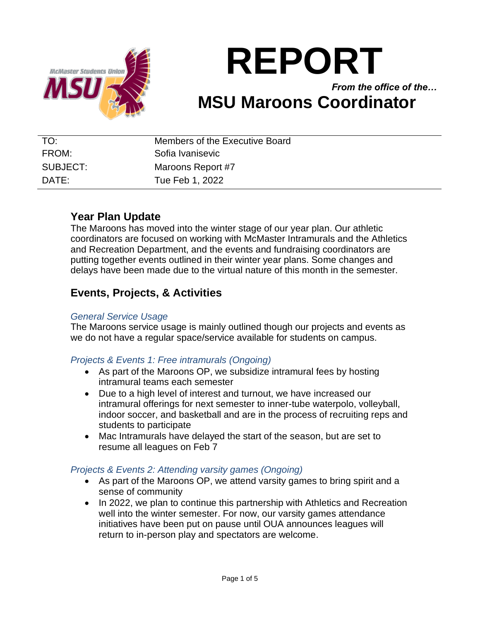

# **REPORT**

*From the office of the…* **MSU Maroons Coordinator**

| TO:      | Members of the Executive Board |
|----------|--------------------------------|
| FROM:    | Sofia Ivanisevic               |
| SUBJECT: | Maroons Report #7              |
| DATE:    | Tue Feb 1, 2022                |

# **Year Plan Update**

The Maroons has moved into the winter stage of our year plan. Our athletic coordinators are focused on working with McMaster Intramurals and the Athletics and Recreation Department, and the events and fundraising coordinators are putting together events outlined in their winter year plans. Some changes and delays have been made due to the virtual nature of this month in the semester.

# **Events, Projects, & Activities**

#### *General Service Usage*

The Maroons service usage is mainly outlined though our projects and events as we do not have a regular space/service available for students on campus.

#### *Projects & Events 1: Free intramurals (Ongoing)*

- As part of the Maroons OP, we subsidize intramural fees by hosting intramural teams each semester
- Due to a high level of interest and turnout, we have increased our intramural offerings for next semester to inner-tube waterpolo, volleyball, indoor soccer, and basketball and are in the process of recruiting reps and students to participate
- Mac Intramurals have delayed the start of the season, but are set to resume all leagues on Feb 7

#### *Projects & Events 2: Attending varsity games (Ongoing)*

- As part of the Maroons OP, we attend varsity games to bring spirit and a sense of community
- In 2022, we plan to continue this partnership with Athletics and Recreation well into the winter semester. For now, our varsity games attendance initiatives have been put on pause until OUA announces leagues will return to in-person play and spectators are welcome.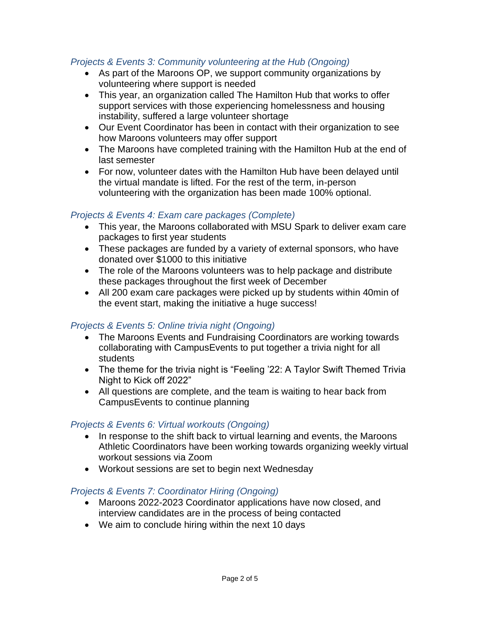#### *Projects & Events 3: Community volunteering at the Hub (Ongoing)*

- As part of the Maroons OP, we support community organizations by volunteering where support is needed
- This year, an organization called The Hamilton Hub that works to offer support services with those experiencing homelessness and housing instability, suffered a large volunteer shortage
- Our Event Coordinator has been in contact with their organization to see how Maroons volunteers may offer support
- The Maroons have completed training with the Hamilton Hub at the end of last semester
- For now, volunteer dates with the Hamilton Hub have been delayed until the virtual mandate is lifted. For the rest of the term, in-person volunteering with the organization has been made 100% optional.

#### *Projects & Events 4: Exam care packages (Complete)*

- This year, the Maroons collaborated with MSU Spark to deliver exam care packages to first year students
- These packages are funded by a variety of external sponsors, who have donated over \$1000 to this initiative
- The role of the Maroons volunteers was to help package and distribute these packages throughout the first week of December
- All 200 exam care packages were picked up by students within 40min of the event start, making the initiative a huge success!

#### *Projects & Events 5: Online trivia night (Ongoing)*

- The Maroons Events and Fundraising Coordinators are working towards collaborating with CampusEvents to put together a trivia night for all students
- The theme for the trivia night is "Feeling '22: A Taylor Swift Themed Trivia Night to Kick off 2022"
- All questions are complete, and the team is waiting to hear back from CampusEvents to continue planning

#### *Projects & Events 6: Virtual workouts (Ongoing)*

- In response to the shift back to virtual learning and events, the Maroons Athletic Coordinators have been working towards organizing weekly virtual workout sessions via Zoom
- Workout sessions are set to begin next Wednesday

#### *Projects & Events 7: Coordinator Hiring (Ongoing)*

- Maroons 2022-2023 Coordinator applications have now closed, and interview candidates are in the process of being contacted
- We aim to conclude hiring within the next 10 days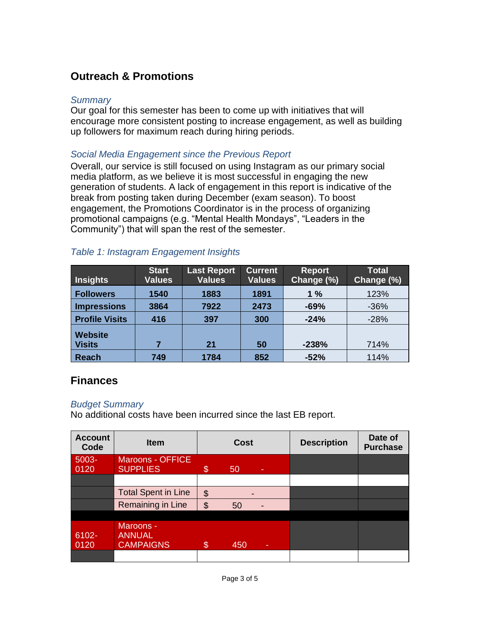# **Outreach & Promotions**

#### *Summary*

Our goal for this semester has been to come up with initiatives that will encourage more consistent posting to increase engagement, as well as building up followers for maximum reach during hiring periods.

#### *Social Media Engagement since the Previous Report*

Overall, our service is still focused on using Instagram as our primary social media platform, as we believe it is most successful in engaging the new generation of students. A lack of engagement in this report is indicative of the break from posting taken during December (exam season). To boost engagement, the Promotions Coordinator is in the process of organizing promotional campaigns (e.g. "Mental Health Mondays", "Leaders in the Community") that will span the rest of the semester.

| <b>Insights</b>                 | <b>Start</b><br><b>Values</b> | <b>Last Report</b><br><b>Values</b> | <b>Current</b><br><b>Values</b> | <b>Report</b><br>Change (%) | <b>Total</b><br>Change (%) |
|---------------------------------|-------------------------------|-------------------------------------|---------------------------------|-----------------------------|----------------------------|
| <b>Followers</b>                | 1540                          | 1883                                | 1891                            | 1%                          | 123%                       |
| <b>Impressions</b>              | 3864                          | 7922                                | 2473                            | $-69%$                      | $-36%$                     |
| <b>Profile Visits</b>           | 416                           | 397                                 | 300                             | $-24%$                      | $-28%$                     |
| <b>Website</b><br><b>Visits</b> |                               | 21                                  | 50                              | $-238%$                     | 714%                       |
| <b>Reach</b>                    | 749                           | 1784                                | 852                             | $-52%$                      | 114%                       |

#### *Table 1: Instagram Engagement Insights*

## **Finances**

#### *Budget Summary*

No additional costs have been incurred since the last EB report.

| <b>Account</b><br>Code | <b>Item</b>                                    | <b>Cost</b>   |     | <b>Description</b>       | Date of<br><b>Purchase</b> |  |
|------------------------|------------------------------------------------|---------------|-----|--------------------------|----------------------------|--|
| 5003-<br>0120          | <b>Maroons - OFFICE</b><br><b>SUPPLIES</b>     | \$            | 50  | ٠                        |                            |  |
|                        |                                                |               |     |                          |                            |  |
|                        | <b>Total Spent in Line</b>                     | \$            |     |                          |                            |  |
|                        | Remaining in Line                              | $\mathcal{L}$ | 50  | $\overline{\phantom{0}}$ |                            |  |
|                        |                                                |               |     |                          |                            |  |
| 6102-<br>0120          | Maroons -<br><b>ANNUAL</b><br><b>CAMPAIGNS</b> | $\mathcal{S}$ | 450 | ۰                        |                            |  |
|                        |                                                |               |     |                          |                            |  |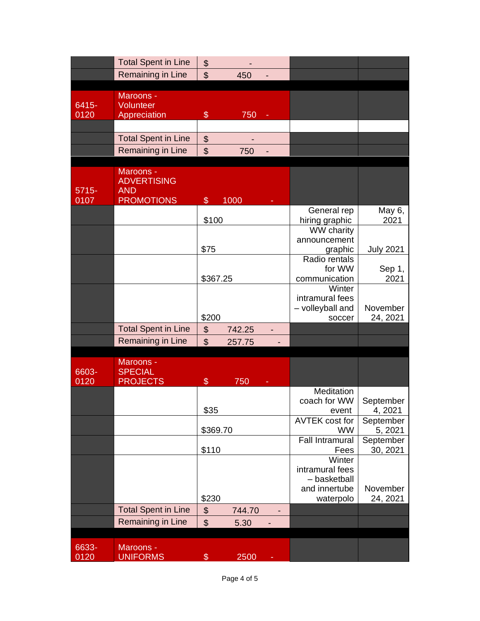|               | <b>Total Spent in Line</b>   | \$                        |        |   |                                    |                      |
|---------------|------------------------------|---------------------------|--------|---|------------------------------------|----------------------|
|               | Remaining in Line            | \$                        | 450    |   |                                    |                      |
|               |                              |                           |        |   |                                    |                      |
|               | Maroons -                    |                           |        |   |                                    |                      |
| 6415-         | Volunteer                    |                           |        |   |                                    |                      |
| 0120          | Appreciation                 | $\$\$                     | 750    | ÷ |                                    |                      |
|               |                              |                           |        |   |                                    |                      |
|               | <b>Total Spent in Line</b>   | \$                        |        |   |                                    |                      |
|               | Remaining in Line            | $\frac{1}{2}$             | 750    |   |                                    |                      |
|               | Maroons -                    |                           |        |   |                                    |                      |
|               | <b>ADVERTISING</b>           |                           |        |   |                                    |                      |
| $5715 -$      | <b>AND</b>                   |                           |        |   |                                    |                      |
| 0107          | <b>PROMOTIONS</b>            | $\$\$                     | 1000   |   |                                    |                      |
|               |                              |                           |        |   | General rep                        | May 6,               |
|               |                              | \$100                     |        |   | hiring graphic                     | 2021                 |
|               |                              |                           |        |   | <b>WW charity</b>                  |                      |
|               |                              | \$75                      |        |   | announcement<br>graphic            | <b>July 2021</b>     |
|               |                              |                           |        |   | Radio rentals                      |                      |
|               |                              |                           |        |   | for WW                             | Sep 1,               |
|               |                              | \$367.25                  |        |   | communication                      | 2021                 |
|               |                              |                           |        |   | Winter                             |                      |
|               |                              |                           |        |   | intramural fees                    |                      |
|               |                              |                           |        |   | - volleyball and                   | November             |
|               |                              | \$200                     |        |   | soccer                             | 24, 2021             |
|               | <b>Total Spent in Line</b>   | \$                        | 742.25 |   |                                    |                      |
|               | <b>Remaining in Line</b>     | $\mathfrak{S}$            | 257.75 |   |                                    |                      |
|               | Maroons -                    |                           |        |   |                                    |                      |
| 6603-         | <b>SPECIAL</b>               |                           |        |   |                                    |                      |
| 0120          | <b>PROJECTS</b>              | \$                        | 750    |   |                                    |                      |
|               |                              |                           |        |   | Meditation                         |                      |
|               |                              |                           |        |   | coach for WW                       | September            |
|               |                              | \$35                      |        |   | event                              | 4, 2021              |
|               |                              | \$369.70                  |        |   | <b>AVTEK cost for</b><br><b>WW</b> | September<br>5, 2021 |
|               |                              |                           |        |   | <b>Fall Intramural</b>             | September            |
|               |                              | \$110                     |        |   | Fees                               | 30, 2021             |
|               |                              |                           |        |   | Winter                             |                      |
|               |                              |                           |        |   | intramural fees                    |                      |
|               |                              |                           |        |   | - basketball                       |                      |
|               |                              | \$230                     |        |   | and innertube<br>waterpolo         | November<br>24, 2021 |
|               | <b>Total Spent in Line</b>   | \$                        | 744.70 |   |                                    |                      |
|               | Remaining in Line            | $\boldsymbol{\mathsf{S}}$ |        |   |                                    |                      |
|               |                              |                           | 5.30   |   |                                    |                      |
|               |                              |                           |        |   |                                    |                      |
| 6633-<br>0120 | Maroons -<br><b>UNIFORMS</b> | $\$\$                     | 2500   |   |                                    |                      |
|               |                              |                           |        |   |                                    |                      |